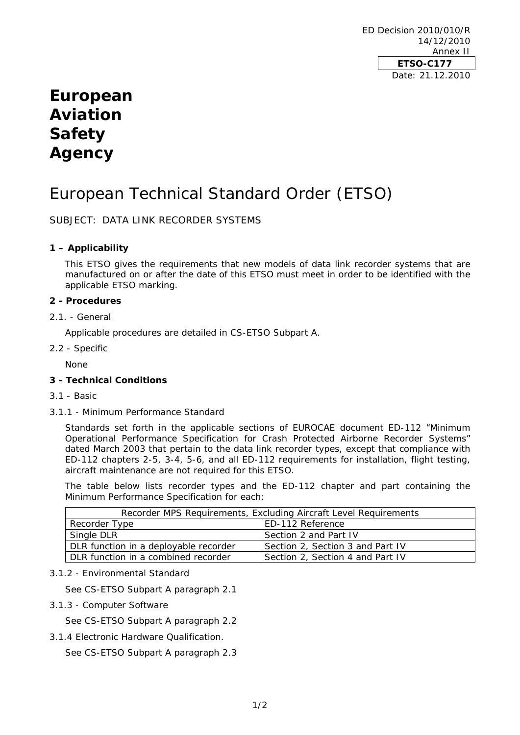ED Decision 2010/010/R 14/12/2010 Annex II **ETSO-C177**  Date: 21.12.2010

# **European Aviation Safety Agency**

# European Technical Standard Order (ETSO)

SUBJECT: DATA LINK RECORDER SYSTEMS

# **1 – Applicability**

This ETSO gives the requirements that new models of data link recorder systems that are manufactured on or after the date of this ETSO must meet in order to be identified with the applicable ETSO marking.

## **2 - Procedures**

2.1. - General

Applicable procedures are detailed in CS-ETSO Subpart A.

2.2 - Specific

None

# **3 - Technical Conditions**

- 3.1 Basic
- 3.1.1 Minimum Performance Standard

Standards set forth in the applicable sections of EUROCAE document ED-112 "Minimum Operational Performance Specification for Crash Protected Airborne Recorder Systems" dated March 2003 that pertain to the data link recorder types, except that compliance with ED-112 chapters 2-5, 3-4, 5-6, and all ED-112 requirements for installation, flight testing, aircraft maintenance are not required for this ETSO.

The table below lists recorder types and the ED-112 chapter and part containing the Minimum Performance Specification for each:

| Recorder MPS Requirements, Excluding Aircraft Level Requirements |                                  |
|------------------------------------------------------------------|----------------------------------|
| Recorder Type                                                    | ED-112 Reference                 |
| Single DLR                                                       | Section 2 and Part IV            |
| DLR function in a deployable recorder                            | Section 2, Section 3 and Part IV |
| DLR function in a combined recorder                              | Section 2, Section 4 and Part IV |

## 3.1.2 - Environmental Standard

See CS-ETSO Subpart A paragraph 2.1

3.1.3 - Computer Software

See CS-ETSO Subpart A paragraph 2.2

3.1.4 Electronic Hardware Qualification.

See CS-ETSO Subpart A paragraph 2.3